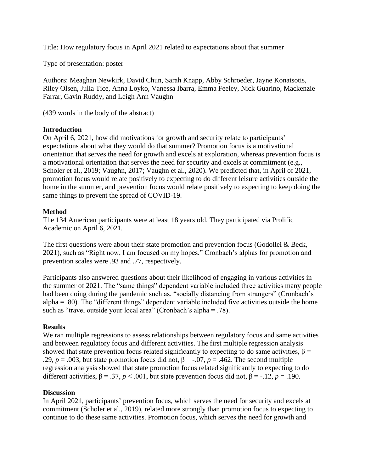Title: How regulatory focus in April 2021 related to expectations about that summer

Type of presentation: poster

Authors: Meaghan Newkirk, David Chun, Sarah Knapp, Abby Schroeder, Jayne Konatsotis, Riley Olsen, Julia Tice, Anna Loyko, Vanessa Ibarra, Emma Feeley, Nick Guarino, Mackenzie Farrar, Gavin Ruddy, and Leigh Ann Vaughn

(439 words in the body of the abstract)

## **Introduction**

On April 6, 2021, how did motivations for growth and security relate to participants' expectations about what they would do that summer? Promotion focus is a motivational orientation that serves the need for growth and excels at exploration, whereas prevention focus is a motivational orientation that serves the need for security and excels at commitment (e.g., Scholer et al., 2019; Vaughn, 2017; Vaughn et al., 2020). We predicted that, in April of 2021, promotion focus would relate positively to expecting to do different leisure activities outside the home in the summer, and prevention focus would relate positively to expecting to keep doing the same things to prevent the spread of COVID-19.

## **Method**

The 134 American participants were at least 18 years old. They participated via Prolific Academic on April 6, 2021.

The first questions were about their state promotion and prevention focus (Godollei & Beck, 2021), such as "Right now, I am focused on my hopes." Cronbach's alphas for promotion and prevention scales were .93 and .77, respectively.

Participants also answered questions about their likelihood of engaging in various activities in the summer of 2021. The "same things" dependent variable included three activities many people had been doing during the pandemic such as, "socially distancing from strangers" (Cronbach's  $alpha = .80$ ). The "different things" dependent variable included five activities outside the home such as "travel outside your local area" (Cronbach's alpha = .78).

#### **Results**

We ran multiple regressions to assess relationships between regulatory focus and same activities and between regulatory focus and different activities. The first multiple regression analysis showed that state prevention focus related significantly to expecting to do same activities,  $\beta$  = .29,  $p = .003$ , but state promotion focus did not,  $\beta = -.07$ ,  $p = .462$ . The second multiple regression analysis showed that state promotion focus related significantly to expecting to do different activities,  $\beta = .37$ ,  $p < .001$ , but state prevention focus did not,  $\beta = -.12$ ,  $p = .190$ .

# **Discussion**

In April 2021, participants' prevention focus, which serves the need for security and excels at commitment (Scholer et al., 2019), related more strongly than promotion focus to expecting to continue to do these same activities. Promotion focus, which serves the need for growth and